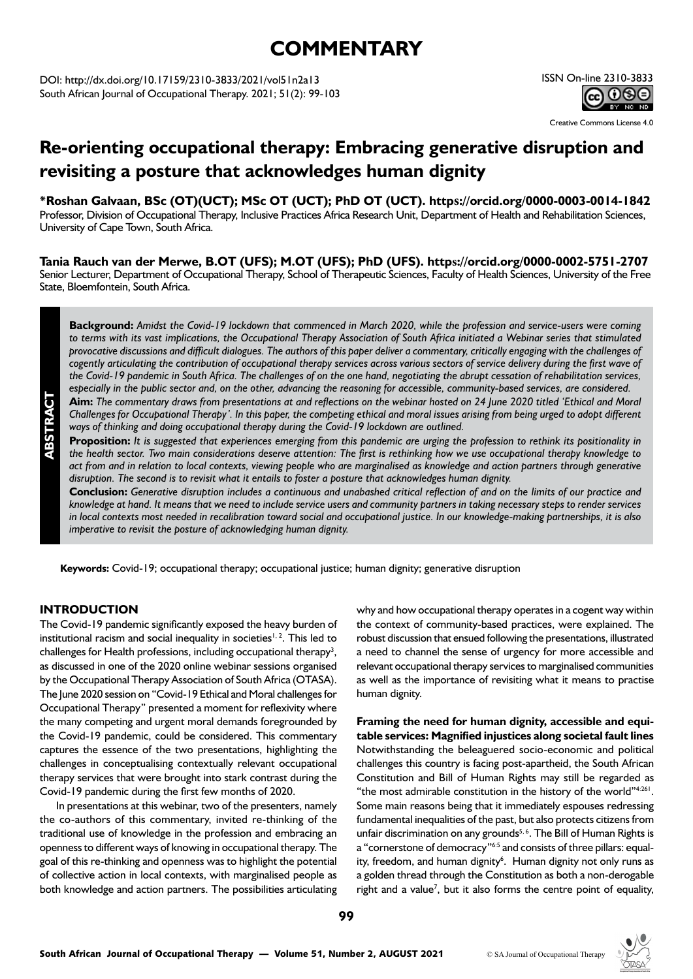# **COMMENTARY**

DOI: http://dx.doi.org/10.17159/2310-3833/2021/vol51n2a13 South African Journal of Occupational Therapy. 2021; 51(2): 99-103

### ISSN On-line 2310-3833 **@000**

Creative Commons License 4.0

### **Re-orienting occupational therapy: Embracing generative disruption and revisiting a posture that acknowledges human dignity**

**\*Roshan Galvaan, BSc (OT)(UCT); MSc OT (UCT); PhD OT (UCT). https://orcid.org/0000-0003-0014-1842** Professor, Division of Occupational Therapy, Inclusive Practices Africa Research Unit, Department of Health and Rehabilitation Sciences, University of Cape Town, South Africa.

**Tania Rauch van der Merwe, B.OT (UFS); M.OT (UFS); PhD (UFS). https://orcid.org/0000-0002-5751-2707** Senior Lecturer, Department of Occupational Therapy, School of Therapeutic Sciences, Faculty of Health Sciences, University of the Free State, Bloemfontein, South Africa.

**Background:** *Amidst the Covid-19 lockdown that commenced in March 2020, while the profession and service-users were coming to terms with its vast implications, the Occupational Therapy Association of South Africa initiated a Webinar series that stimulated provocative discussions and difficult dialogues. The authors of this paper deliver a commentary, critically engaging with the challenges of cogently articulating the contribution of occupational therapy services across various sectors of service delivery during the first wave of the Covid-19 pandemic in South Africa. The challenges of on the one hand, negotiating the abrupt cessation of rehabilitation services, especially in the public sector and, on the other, advancing the reasoning for accessible, community-based services, are considered.*

**Aim:** *The commentary draws from presentations at and reflections on the webinar hosted on 24 June 2020 titled 'Ethical and Moral Challenges for Occupational Therapy'. In this paper, the competing ethical and moral issues arising from being urged to adopt different ways of thinking and doing occupational therapy during the Covid-19 lockdown are outlined.* 

**Proposition:** *It is suggested that experiences emerging from this pandemic are urging the profession to rethink its positionality in the health sector. Two main considerations deserve attention: The first is rethinking how we use occupational therapy knowledge to act from and in relation to local contexts, viewing people who are marginalised as knowledge and action partners through generative disruption. The second is to revisit what it entails to foster a posture that acknowledges human dignity.*

**Conclusion:** *Generative disruption includes a continuous and unabashed critical reflection of and on the limits of our practice and knowledge at hand. It means that we need to include service users and community partners in taking necessary steps to render services in local contexts most needed in recalibration toward social and occupational justice. In our knowledge-making partnerships, it is also imperative to revisit the posture of acknowledging human dignity.* 

**Keywords:** Covid-19; occupational therapy; occupational justice; human dignity; generative disruption

#### **INTRODUCTION**

**ABSTRACT**

The Covid-19 pandemic significantly exposed the heavy burden of institutional racism and social inequality in societies<sup> $1, 2$ </sup>. This led to challenges for Health professions, including occupational therapy<sup>3</sup>, as discussed in one of the 2020 online webinar sessions organised by the Occupational Therapy Association of South Africa (OTASA). The June 2020 session on "Covid-19 Ethical and Moral challenges for Occupational Therapy" presented a moment for reflexivity where the many competing and urgent moral demands foregrounded by the Covid-19 pandemic, could be considered. This commentary captures the essence of the two presentations, highlighting the challenges in conceptualising contextually relevant occupational therapy services that were brought into stark contrast during the Covid-19 pandemic during the first few months of 2020.

In presentations at this webinar, two of the presenters, namely the co-authors of this commentary, invited re-thinking of the traditional use of knowledge in the profession and embracing an openness to different ways of knowing in occupational therapy. The goal of this re-thinking and openness was to highlight the potential of collective action in local contexts, with marginalised people as both knowledge and action partners. The possibilities articulating why and how occupational therapy operates in a cogent way within the context of community-based practices, were explained. The robust discussion that ensued following the presentations, illustrated a need to channel the sense of urgency for more accessible and relevant occupational therapy services to marginalised communities as well as the importance of revisiting what it means to practise human dignity.

**Framing the need for human dignity, accessible and equitable services: Magnified injustices along societal fault lines**  Notwithstanding the beleaguered socio-economic and political challenges this country is facing post-apartheid, the South African Constitution and Bill of Human Rights may still be regarded as "the most admirable constitution in the history of the world"4:261. Some main reasons being that it immediately espouses redressing fundamental inequalities of the past, but also protects citizens from unfair discrimination on any grounds<sup>5,6</sup>. The Bill of Human Rights is a "cornerstone of democracy"6:5 and consists of three pillars: equality, freedom, and human dignity<sup>6</sup>. Human dignity not only runs as a golden thread through the Constitution as both a non-derogable right and a value<sup>7</sup>, but it also forms the centre point of equality,

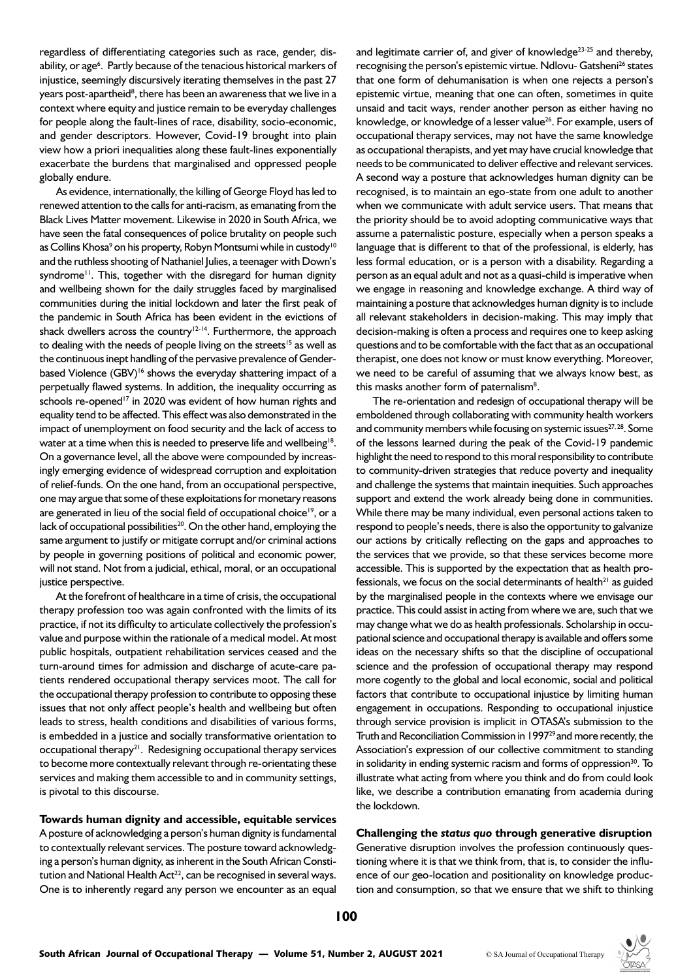regardless of differentiating categories such as race, gender, disability, or age<sup>6</sup>. Partly because of the tenacious historical markers of injustice, seemingly discursively iterating themselves in the past 27 years post-apartheid<sup>8</sup>, there has been an awareness that we live in a context where equity and justice remain to be everyday challenges for people along the fault-lines of race, disability, socio-economic, and gender descriptors. However, Covid-19 brought into plain view how a priori inequalities along these fault-lines exponentially exacerbate the burdens that marginalised and oppressed people globally endure.

As evidence, internationally, the killing of George Floyd has led to renewed attention to the calls for anti-racism, as emanating from the Black Lives Matter movement. Likewise in 2020 in South Africa, we have seen the fatal consequences of police brutality on people such as Collins Khosa<sup>9</sup> on his property, Robyn Montsumi while in custody'<sup>0</sup> and the ruthless shooting of Nathaniel Julies, a teenager with Down's syndrome<sup>11</sup>. This, together with the disregard for human dignity and wellbeing shown for the daily struggles faced by marginalised communities during the initial lockdown and later the first peak of the pandemic in South Africa has been evident in the evictions of shack dwellers across the country<sup>12-14</sup>. Furthermore, the approach to dealing with the needs of people living on the streets<sup>15</sup> as well as the continuous inept handling of the pervasive prevalence of Genderbased Violence (GBV)<sup>16</sup> shows the everyday shattering impact of a perpetually flawed systems. In addition, the inequality occurring as schools re-opened<sup>17</sup> in 2020 was evident of how human rights and equality tend to be affected. This effect was also demonstrated in the impact of unemployment on food security and the lack of access to water at a time when this is needed to preserve life and wellbeing<sup>18</sup>. On a governance level, all the above were compounded by increasingly emerging evidence of widespread corruption and exploitation of relief-funds. On the one hand, from an occupational perspective, one may argue that some of these exploitations for monetary reasons are generated in lieu of the social field of occupational choice<sup>19</sup>, or a lack of occupational possibilities<sup>20</sup>. On the other hand, employing the same argument to justify or mitigate corrupt and/or criminal actions by people in governing positions of political and economic power, will not stand. Not from a judicial, ethical, moral, or an occupational justice perspective.

At the forefront of healthcare in a time of crisis, the occupational therapy profession too was again confronted with the limits of its practice, if not its difficulty to articulate collectively the profession's value and purpose within the rationale of a medical model. At most public hospitals, outpatient rehabilitation services ceased and the turn-around times for admission and discharge of acute-care patients rendered occupational therapy services moot. The call for the occupational therapy profession to contribute to opposing these issues that not only affect people's health and wellbeing but often leads to stress, health conditions and disabilities of various forms, is embedded in a justice and socially transformative orientation to occupational therapy $2^1$ . Redesigning occupational therapy services to become more contextually relevant through re-orientating these services and making them accessible to and in community settings, is pivotal to this discourse.

#### **Towards human dignity and accessible, equitable services**

A posture of acknowledging a person's human dignity is fundamental to contextually relevant services. The posture toward acknowledging a person's human dignity, as inherent in the South African Constitution and National Health  $Act^{22}$ , can be recognised in several ways. One is to inherently regard any person we encounter as an equal

and legitimate carrier of, and giver of knowledge<sup>23-25</sup> and thereby, recognising the person's epistemic virtue. Ndlovu- Gatsheni<sup>26</sup> states that one form of dehumanisation is when one rejects a person's epistemic virtue, meaning that one can often, sometimes in quite unsaid and tacit ways, render another person as either having no knowledge, or knowledge of a lesser value<sup>26</sup>. For example, users of occupational therapy services, may not have the same knowledge as occupational therapists, and yet may have crucial knowledge that needs to be communicated to deliver effective and relevant services. A second way a posture that acknowledges human dignity can be recognised, is to maintain an ego-state from one adult to another when we communicate with adult service users. That means that the priority should be to avoid adopting communicative ways that assume a paternalistic posture, especially when a person speaks a language that is different to that of the professional, is elderly, has less formal education, or is a person with a disability. Regarding a person as an equal adult and not as a quasi-child is imperative when we engage in reasoning and knowledge exchange. A third way of maintaining a posture that acknowledges human dignity is to include all relevant stakeholders in decision-making. This may imply that decision-making is often a process and requires one to keep asking questions and to be comfortable with the fact that as an occupational therapist, one does not know or must know everything. Moreover, we need to be careful of assuming that we always know best, as this masks another form of paternalism<sup>8</sup>.

The re-orientation and redesign of occupational therapy will be emboldened through collaborating with community health workers and community members while focusing on systemic issues<sup>27, 28</sup>. Some of the lessons learned during the peak of the Covid-19 pandemic highlight the need to respond to this moral responsibility to contribute to community-driven strategies that reduce poverty and inequality and challenge the systems that maintain inequities. Such approaches support and extend the work already being done in communities. While there may be many individual, even personal actions taken to respond to people's needs, there is also the opportunity to galvanize our actions by critically reflecting on the gaps and approaches to the services that we provide, so that these services become more accessible. This is supported by the expectation that as health professionals, we focus on the social determinants of health $21$  as guided by the marginalised people in the contexts where we envisage our practice. This could assist in acting from where we are, such that we may change what we do as health professionals. Scholarship in occupational science and occupational therapy is available and offers some ideas on the necessary shifts so that the discipline of occupational science and the profession of occupational therapy may respond more cogently to the global and local economic, social and political factors that contribute to occupational injustice by limiting human engagement in occupations. Responding to occupational injustice through service provision is implicit in OTASA's submission to the Truth and Reconciliation Commission in 1997<sup>29</sup> and more recently, the Association's expression of our collective commitment to standing in solidarity in ending systemic racism and forms of oppression $30$ . To illustrate what acting from where you think and do from could look like, we describe a contribution emanating from academia during the lockdown.

## **Challenging the** *status quo* **through generative disruption**

Generative disruption involves the profession continuously questioning where it is that we think from, that is, to consider the influence of our geo-location and positionality on knowledge production and consumption, so that we ensure that we shift to thinking

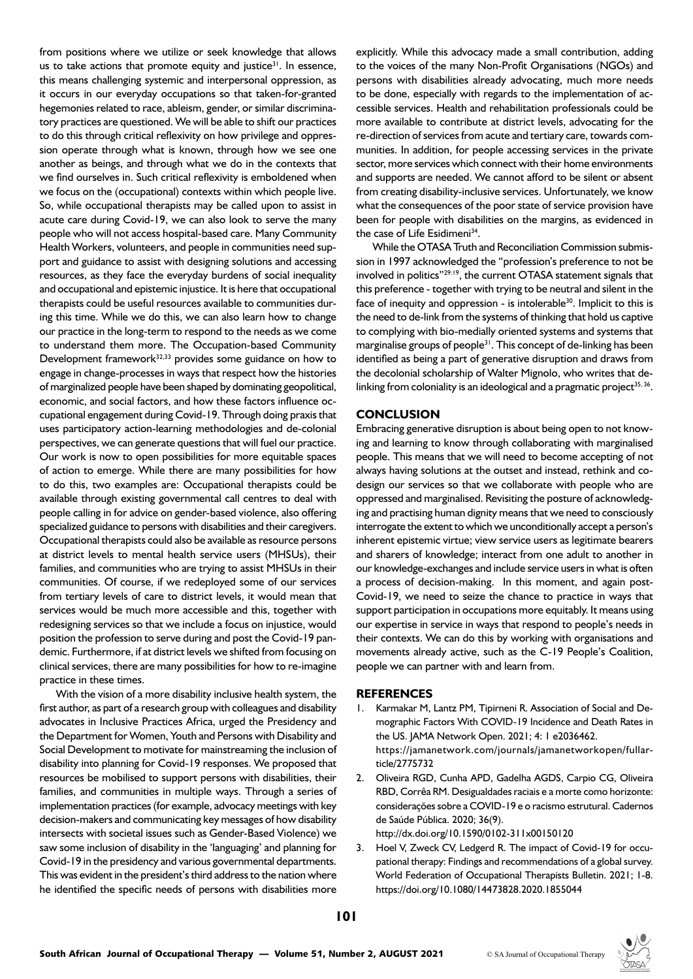from positions where we utilize or seek knowledge that allows us to take actions that promote equity and justice $31$ . In essence, this means challenging systemic and interpersonal oppression, as it occurs in our everyday occupations so that taken-for-granted hegemonies related to race, ableism, gender, or similar discriminatory practices are questioned. We will be able to shift our practices to do this through critical reflexivity on how privilege and oppression operate through what is known, through how we see one another as beings, and through what we do in the contexts that we find ourselves in. Such critical reflexivity is emboldened when we focus on the (occupational) contexts within which people live. So, while occupational therapists may be called upon to assist in acute care during Covid-19, we can also look to serve the many people who will not access hospital-based care. Many Community Health Workers, volunteers, and people in communities need support and guidance to assist with designing solutions and accessing resources, as they face the everyday burdens of social inequality and occupational and epistemic injustice. It is here that occupational therapists could be useful resources available to communities during this time. While we do this, we can also learn how to change our practice in the long-term to respond to the needs as we come to understand them more. The Occupation-based Community Development framework<sup>32,33</sup> provides some guidance on how to engage in change-processes in ways that respect how the histories of marginalized people have been shaped by dominating geopolitical, economic, and social factors, and how these factors influence occupational engagement during Covid-19. Through doing praxis that uses participatory action-learning methodologies and de-colonial perspectives, we can generate questions that will fuel our practice. Our work is now to open possibilities for more equitable spaces of action to emerge. While there are many possibilities for how to do this, two examples are: Occupational therapists could be available through existing governmental call centres to deal with people calling in for advice on gender-based violence, also offering specialized guidance to persons with disabilities and their caregivers. Occupational therapists could also be available as resource persons at district levels to mental health service users (MHSUs), their families, and communities who are trying to assist MHSUs in their communities. Of course, if we redeployed some of our services from tertiary levels of care to district levels, it would mean that services would be much more accessible and this, together with redesigning services so that we include a focus on injustice, would position the profession to serve during and post the Covid-19 pandemic. Furthermore, if at district levels we shifted from focusing on clinical services, there are many possibilities for how to re-imagine practice in these times.

With the vision of a more disability inclusive health system, the first author, as part of a research group with colleagues and disability advocates in Inclusive Practices Africa, urged the Presidency and the Department for Women, Youth and Persons with Disability and Social Development to motivate for mainstreaming the inclusion of disability into planning for Covid-19 responses. We proposed that resources be mobilised to support persons with disabilities, their families, and communities in multiple ways. Through a series of implementation practices (for example, advocacy meetings with key decision-makers and communicating key messages of how disability intersects with societal issues such as Gender-Based Violence) we saw some inclusion of disability in the 'languaging' and planning for Covid-19 in the presidency and various governmental departments. This was evident in the president's third address to the nation where he identified the specific needs of persons with disabilities more explicitly. While this advocacy made a small contribution, adding to the voices of the many Non-Profit Organisations (NGOs) and persons with disabilities already advocating, much more needs to be done, especially with regards to the implementation of accessible services. Health and rehabilitation professionals could be more available to contribute at district levels, advocating for the re-direction of services from acute and tertiary care, towards communities. In addition, for people accessing services in the private sector, more services which connect with their home environments and supports are needed. We cannot afford to be silent or absent from creating disability-inclusive services. Unfortunately, we know what the consequences of the poor state of service provision have been for people with disabilities on the margins, as evidenced in the case of Life Esidimeni<sup>34</sup>.

While the OTASA Truth and Reconciliation Commission submission in 1997 acknowledged the "profession's preference to not be involved in politics"29:19, the current OTASA statement signals that this preference - together with trying to be neutral and silent in the face of inequity and oppression - is intolerable<sup>30</sup>. Implicit to this is the need to de-link from the systems of thinking that hold us captive to complying with bio-medially oriented systems and systems that marginalise groups of people<sup>31</sup>. This concept of de-linking has been identified as being a part of generative disruption and draws from the decolonial scholarship of Walter Mignolo, who writes that delinking from coloniality is an ideological and a pragmatic project $35, 36$ .

#### **CONCLUSION**

Embracing generative disruption is about being open to not knowing and learning to know through collaborating with marginalised people. This means that we will need to become accepting of not always having solutions at the outset and instead, rethink and codesign our services so that we collaborate with people who are oppressed and marginalised. Revisiting the posture of acknowledging and practising human dignity means that we need to consciously interrogate the extent to which we unconditionally accept a person's inherent epistemic virtue; view service users as legitimate bearers and sharers of knowledge; interact from one adult to another in our knowledge-exchanges and include service users in what is often a process of decision-making. In this moment, and again post-Covid-19, we need to seize the chance to practice in ways that support participation in occupations more equitably. It means using our expertise in service in ways that respond to people's needs in their contexts. We can do this by working with organisations and movements already active, such as the C-19 People's Coalition, people we can partner with and learn from.

#### **REFERENCES**

- 1. Karmakar M, Lantz PM, Tipirneni R. Association of Social and Demographic Factors With COVID-19 Incidence and Death Rates in the US. JAMA Network Open. 2021; 4: 1 e2036462. https://jamanetwork.com/journals/jamanetworkopen/fullarticle/2775732
- 2. Oliveira RGD, Cunha APD, Gadelha AGDS, Carpio CG, Oliveira RBD, Corrêa RM. Desigualdades raciais e a morte como horizonte: considerações sobre a COVID-19 e o racismo estrutural. Cadernos de Saúde Pública. 2020; 36(9). http://dx.doi.org/10.1590/0102-311x00150120
- 3. Hoel V, Zweck CV, Ledgerd R. The impact of Covid-19 for occupational therapy: Findings and recommendations of a global survey.

https://doi.org/10.1080/14473828.2020.1855044

World Federation of Occupational Therapists Bulletin. 2021; 1-8.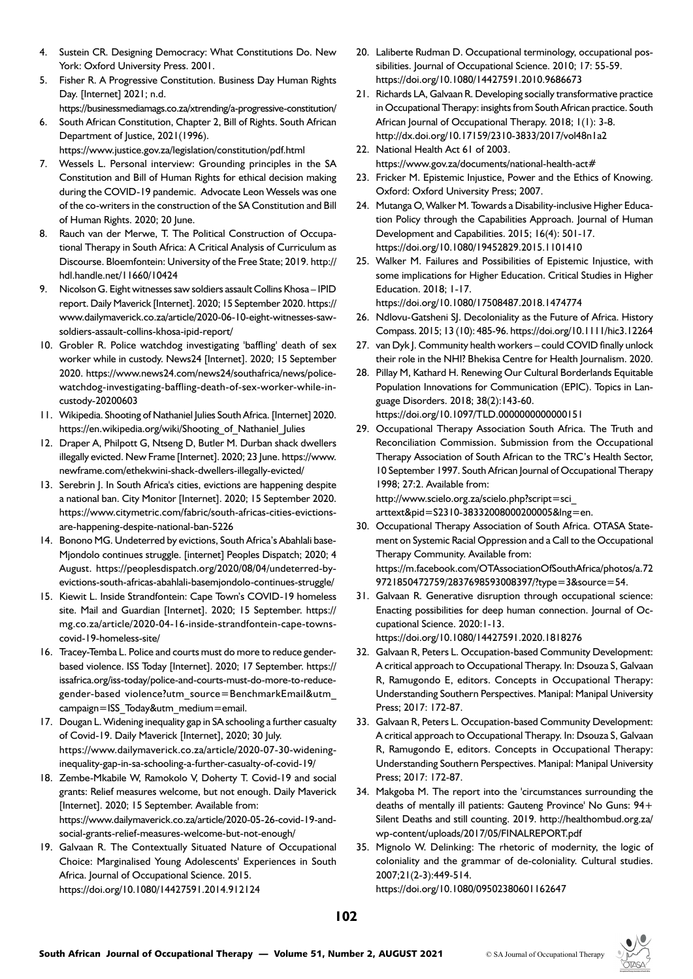- 4. Sustein CR. Designing Democracy: What Constitutions Do. New York: Oxford University Press. 2001.
- 5. Fisher R. A Progressive Constitution. Business Day Human Rights Day. [Internet] 2021; n.d.
- https://businessmediamags.co.za/xtrending/a-progressive-constitution/ 6. South African Constitution, Chapter 2, Bill of Rights. South African Department of Justice, 2021(1996).

https://www.justice.gov.za/legislation/constitution/pdf.html

- 7. Wessels L. Personal interview: Grounding principles in the SA Constitution and Bill of Human Rights for ethical decision making during the COVID-19 pandemic. Advocate Leon Wessels was one of the co-writers in the construction of the SA Constitution and Bill of Human Rights. 2020; 20 June.
- 8. Rauch van der Merwe, T. The Political Construction of Occupational Therapy in South Africa: A Critical Analysis of Curriculum as Discourse. Bloemfontein: University of the Free State; 2019. http:// hdl.handle.net/11660/10424
- 9. Nicolson G. Eight witnesses saw soldiers assault Collins Khosa IPID report. Daily Maverick [Internet]. 2020; 15 September 2020. https:// www.dailymaverick.co.za/article/2020-06-10-eight-witnesses-sawsoldiers-assault-collins-khosa-ipid-report/
- 10. Grobler R. Police watchdog investigating 'baffling' death of sex worker while in custody. News24 [Internet]. 2020; 15 September 2020. https://www.news24.com/news24/southafrica/news/policewatchdog-investigating-baffling-death-of-sex-worker-while-incustody-20200603
- 11. Wikipedia. Shooting of Nathaniel Julies South Africa. [Internet] 2020. https://en.wikipedia.org/wiki/Shooting\_of\_Nathaniel\_Julies
- 12. Draper A, Philpott G, Ntseng D, Butler M. Durban shack dwellers illegally evicted. New Frame [Internet]. 2020; 23 June. https://www. newframe.com/ethekwini-shack-dwellers-illegally-evicted/
- 13. Serebrin J. In South Africa's cities, evictions are happening despite a national ban. City Monitor [Internet]. 2020; 15 September 2020. https://www.citymetric.com/fabric/south-africas-cities-evictionsare-happening-despite-national-ban-5226
- 14. Bonono MG. Undeterred by evictions, South Africa's Abahlali base-Mjondolo continues struggle. [internet] Peoples Dispatch; 2020; 4 August. https://peoplesdispatch.org/2020/08/04/undeterred-byevictions-south-africas-abahlali-basemjondolo-continues-struggle/
- 15. Kiewit L. Inside Strandfontein: Cape Town's COVID-19 homeless site. Mail and Guardian [Internet]. 2020; 15 September. https:// mg.co.za/article/2020-04-16-inside-strandfontein-cape-townscovid-19-homeless-site/
- 16. Tracey-Temba L. Police and courts must do more to reduce genderbased violence. ISS Today [Internet]. 2020; 17 September. https:// issafrica.org/iss-today/police-and-courts-must-do-more-to-reducegender-based violence?utm\_source=BenchmarkEmail&utm\_ campaign=ISS\_Today&utm\_medium=email.
- 17. Dougan L. Widening inequality gap in SA schooling a further casualty of Covid-19. Daily Maverick [Internet], 2020; 30 July. https://www.dailymaverick.co.za/article/2020-07-30-wideninginequality-gap-in-sa-schooling-a-further-casualty-of-covid-19/
- 18. Zembe-Mkabile W, Ramokolo V, Doherty T. Covid-19 and social grants: Relief measures welcome, but not enough. Daily Maverick [Internet]. 2020; 15 September. Available from: https://www.dailymaverick.co.za/article/2020-05-26-covid-19-andsocial-grants-relief-measures-welcome-but-not-enough/
- 19. Galvaan R. The Contextually Situated Nature of Occupational Choice: Marginalised Young Adolescents' Experiences in South Africa. Journal of Occupational Science. 2015. https://doi.org/10.1080/14427591.2014.912124
- 20. Laliberte Rudman D. Occupational terminology, occupational possibilities. Journal of Occupational Science. 2010; 17: 55-59. https://doi.org/10.1080/14427591.2010.9686673
- 21. Richards LA, Galvaan R. Developing socially transformative practice in Occupational Therapy: insights from South African practice. South African Journal of Occupational Therapy. 2018; 1(1): 3-8. http://dx.doi.org/10.17159/2310-3833/2017/vol48n1a2
- 22. National Health Act 61 of 2003. https://www.gov.za/documents/national-health-act#
- 23. Fricker M. Epistemic Injustice, Power and the Ethics of Knowing. Oxford: Oxford University Press; 2007.
- 24. Mutanga O, Walker M. Towards a Disability-inclusive Higher Education Policy through the Capabilities Approach. Journal of Human Development and Capabilities. 2015; 16(4): 501-17. https://doi.org/10.1080/19452829.2015.1101410
- 25. Walker M. Failures and Possibilities of Epistemic Injustice, with some implications for Higher Education. Critical Studies in Higher Education. 2018; 1-17.

https://doi.org/10.1080/17508487.2018.1474774

- 26. Ndlovu-Gatsheni SJ. Decoloniality as the Future of Africa. History Compass. 2015; 13 (10): 485-96. https://doi.org/10.1111/hic3.12264
- 27. van Dyk J. Community health workers could COVID finally unlock their role in the NHI? Bhekisa Centre for Health Journalism. 2020.
- 28. Pillay M, Kathard H. Renewing Our Cultural Borderlands Equitable Population Innovations for Communication (EPIC). Topics in Language Disorders. 2018; 38(2):143-60. https://doi.org/10.1097/TLD.0000000000000151
- 29. Occupational Therapy Association South Africa. The Truth and Reconciliation Commission. Submission from the Occupational Therapy Association of South African to the TRC's Health Sector, 10 September 1997. South African Journal of Occupational Therapy 1998; 27:2. Available from:

[http://www.scielo.org.za/scielo.php?script=sci\\_](http://www.scielo.org.za/scielo.php?script=sci_arttext&pid=S2310-38332008000200005&lng=en) [arttext&pid=S2310-38332008000200005&lng=en.](http://www.scielo.org.za/scielo.php?script=sci_arttext&pid=S2310-38332008000200005&lng=en)

- 30. Occupational Therapy Association of South Africa. OTASA Statement on Systemic Racial Oppression and a Call to the Occupational Therapy Community. Available from: [https://m.facebook.com/OTAssociationOfSouthAfrica/photos/a.72](https://m.facebook.com/OTAssociationOfSouthAfrica/photos/a.729721850472759/2837698593008397/?type=3&source=54) [9721850472759/2837698593008397/?type=3&source=54.](https://m.facebook.com/OTAssociationOfSouthAfrica/photos/a.729721850472759/2837698593008397/?type=3&source=54)
- 31. Galvaan R. Generative disruption through occupational science: Enacting possibilities for deep human connection. Journal of Occupational Science. 2020:1-13. https://doi.org/10.1080/14427591.2020.1818276
- 32. Galvaan R, Peters L. Occupation-based Community Development: A critical approach to Occupational Therapy. In: Dsouza S, Galvaan R, Ramugondo E, editors. Concepts in Occupational Therapy: Understanding Southern Perspectives. Manipal: Manipal University Press; 2017: 172-87.
- 33. Galvaan R, Peters L. Occupation-based Community Development: A critical approach to Occupational Therapy. In: Dsouza S, Galvaan R, Ramugondo E, editors. Concepts in Occupational Therapy: Understanding Southern Perspectives. Manipal: Manipal University Press; 2017: 172-87.
- 34. Makgoba M. The report into the 'circumstances surrounding the deaths of mentally ill patients: Gauteng Province' No Guns: 94+ Silent Deaths and still counting. 2019. [http://healthombud.org.za/](http://healthombud.org.za/wp-content/uploads/2017/05/FINALREPORT.pdf) [wp-content/uploads/2017/05/FINALREPORT.pdf](http://healthombud.org.za/wp-content/uploads/2017/05/FINALREPORT.pdf)
- 35. Mignolo W. Delinking: The rhetoric of modernity, the logic of coloniality and the grammar of de-coloniality. Cultural studies. 2007;21(2-3):449-514.

https://doi.org/10.1080/09502380601162647

**102**